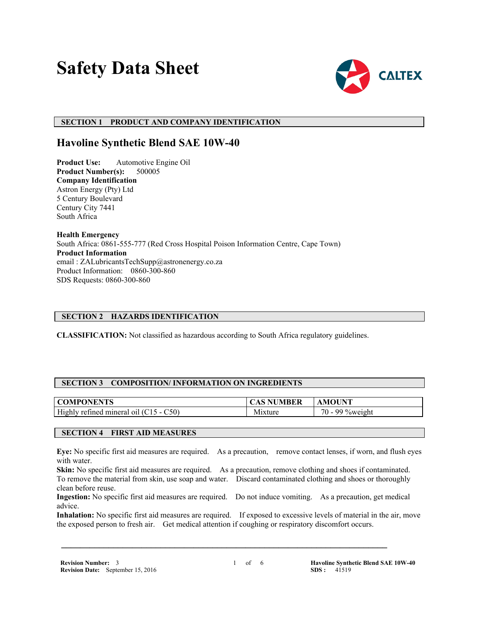# **Safety Data Sheet**



## **SECTION 1 PRODUCT AND COMPANY IDENTIFICATION**

## **Havoline Synthetic Blend SAE 10W-40**

**Product Use:** Automotive Engine Oil **Product Number(s):** 500005 **Company Identification** Astron Energy (Pty) Ltd 5 Century Boulevard Century City 7441 South Africa

**Health Emergency** South Africa: 0861-555-777 (Red Cross Hospital Poison Information Centre, Cape Town) **Product Information** email : ZALubricantsTechSupp@astronenergy.co.za Product Information: 0860-300-860 SDS Requests: 0860-300-860

#### **SECTION 2 HAZARDS IDENTIFICATION**

**CLASSIFICATION:** Not classified as hazardous according to South Africa regulatory guidelines.

#### **SECTION 3 COMPOSITION/ INFORMATION ON INGREDIENTS**

| ONENTS                                                     |                                            | OUNT                                                           |
|------------------------------------------------------------|--------------------------------------------|----------------------------------------------------------------|
| NI PI                                                      | 5 E K                                      | M1                                                             |
| High<br>C50)<br>retined<br>mineral<br>$\Omega$<br>.<br>- - | . .<br><b><i><u>Property</u></i></b><br>NЛ | $70 -$<br>$\sim$<br>$\alpha$ ov<br>,,,,, <i>,</i> ,,,<br>⁄∩\\/ |

#### **SECTION 4 FIRST AID MEASURES**

**Eye:** No specific first aid measures are required. As a precaution, remove contact lenses, if worn, and flush eyes with water.

**Skin:** No specific first aid measures are required. As a precaution, remove clothing and shoes if contaminated. To remove the material from skin, use soap and water. Discard contaminated clothing and shoes or thoroughly clean before reuse.

**Ingestion:** No specific first aid measures are required. Do not induce vomiting. As a precaution, get medical advice.

 **\_\_\_\_\_\_\_\_\_\_\_\_\_\_\_\_\_\_\_\_\_\_\_\_\_\_\_\_\_\_\_\_\_\_\_\_\_\_\_\_\_\_\_\_\_\_\_\_\_\_\_\_\_\_\_\_\_\_\_\_\_\_\_\_\_\_\_\_\_**

**Inhalation:** No specific first aid measures are required. If exposed to excessive levels of material in the air, move the exposed person to fresh air. Get medical attention if coughing or respiratory discomfort occurs.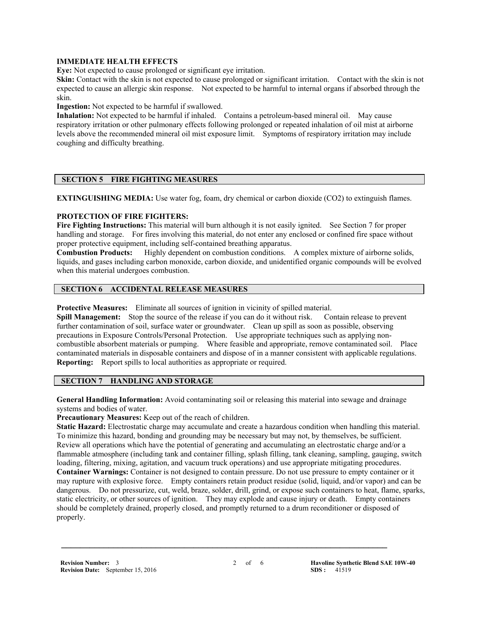#### **IMMEDIATE HEALTH EFFECTS**

**Eve:** Not expected to cause prolonged or significant eye irritation.

**Skin:** Contact with the skin is not expected to cause prolonged or significant irritation. Contact with the skin is not expected to cause an allergic skin response. Not expected to be harmful to internal organs if absorbed through the skin.

**Ingestion:** Not expected to be harmful if swallowed.

**Inhalation:** Not expected to be harmful if inhaled. Contains a petroleum-based mineral oil. May cause respiratory irritation or other pulmonary effects following prolonged or repeated inhalation of oil mist at airborne levels above the recommended mineral oil mist exposure limit. Symptoms of respiratory irritation may include coughing and difficulty breathing.

## **SECTION 5 FIRE FIGHTING MEASURES**

**EXTINGUISHING MEDIA:** Use water fog, foam, dry chemical or carbon dioxide (CO2) to extinguish flames.

#### **PROTECTION OF FIRE FIGHTERS:**

**Fire Fighting Instructions:** This material will burn although it is not easily ignited. See Section 7 for proper handling and storage. For fires involving this material, do not enter any enclosed or confined fire space without proper protective equipment, including self-contained breathing apparatus.

**Combustion Products:** Highly dependent on combustion conditions. A complex mixture of airborne solids, liquids, and gases including carbon monoxide, carbon dioxide, and unidentified organic compounds will be evolved when this material undergoes combustion.

## **SECTION 6 ACCIDENTAL RELEASE MEASURES**

**Protective Measures:** Eliminate all sources of ignition in vicinity of spilled material.

**Spill Management:** Stop the source of the release if you can do it without risk. Contain release to prevent further contamination of soil, surface water or groundwater. Clean up spill as soon as possible, observing precautions in Exposure Controls/Personal Protection. Use appropriate techniques such as applying noncombustible absorbent materials or pumping. Where feasible and appropriate, remove contaminated soil. Place contaminated materials in disposable containers and dispose of in a manner consistent with applicable regulations. **Reporting:** Report spills to local authorities as appropriate or required.

## **SECTION 7 HANDLING AND STORAGE**

**General Handling Information:** Avoid contaminating soil or releasing this material into sewage and drainage systems and bodies of water.

**Precautionary Measures:** Keep out of the reach of children.

**Static Hazard:** Electrostatic charge may accumulate and create a hazardous condition when handling this material. To minimize this hazard, bonding and grounding may be necessary but may not, by themselves, be sufficient. Review all operations which have the potential of generating and accumulating an electrostatic charge and/or a flammable atmosphere (including tank and container filling, splash filling, tank cleaning, sampling, gauging, switch loading, filtering, mixing, agitation, and vacuum truck operations) and use appropriate mitigating procedures. **Container Warnings:** Container is not designed to contain pressure. Do not use pressure to empty container or it may rupture with explosive force. Empty containers retain product residue (solid, liquid, and/or vapor) and can be dangerous. Do not pressurize, cut, weld, braze, solder, drill, grind, or expose such containers to heat, flame, sparks, static electricity, or other sources of ignition. They may explode and cause injury or death. Empty containers should be completely drained, properly closed, and promptly returned to a drum reconditioner or disposed of properly.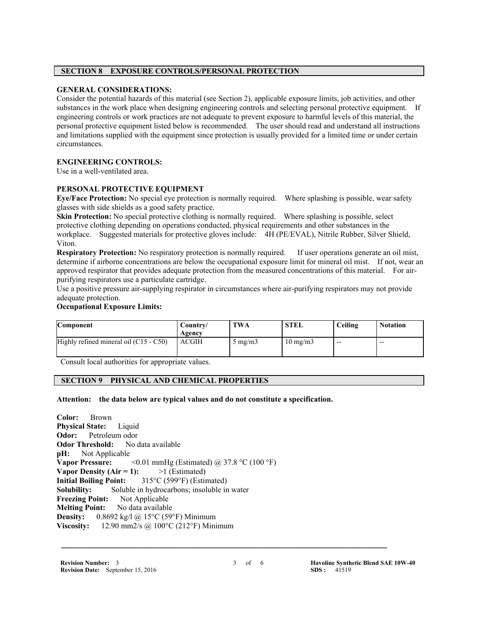## **SECTION 8 EXPOSURE CONTROLS/PERSONAL PROTECTION**

#### **GENERAL CONSIDERATIONS:**

Consider the potential hazards of this material (see Section 2), applicable exposure limits, job activities, and other substances in the work place when designing engineering controls and selecting personal protective equipment. If engineering controls or work practices are not adequate to prevent exposure to harmful levels of this material, the personal protective equipment listed below is recommended. The user should read and understand all instructions and limitations supplied with the equipment since protection is usually provided for a limited time or under certain circumstances.

## **ENGINEERING CONTROLS:**

Use in a well-ventilated area.

#### **PERSONAL PROTECTIVE EQUIPMENT**

**Eye/Face Protection:** No special eye protection is normally required. Where splashing is possible, wear safety glasses with side shields as a good safety practice.

**Skin Protection:** No special protective clothing is normally required. Where splashing is possible, select protective clothing depending on operations conducted, physical requirements and other substances in the workplace. Suggested materials for protective gloves include: 4H (PE/EVAL), Nitrile Rubber, Silver Shield, Viton.

**Respiratory Protection:** No respiratory protection is normally required. If user operations generate an oil mist, determine if airborne concentrations are below the occupational exposure limit for mineral oil mist. If not, wear an approved respirator that provides adequate protection from the measured concentrations of this material. For airpurifying respirators use a particulate cartridge.

Use a positive pressure air-supplying respirator in circumstances where air-purifying respirators may not provide adequate protection.

#### **Occupational Exposure Limits:**

| Component                                | Country/<br>Agency | TWA              | <b>STEL</b>       | Ceiling | <b>Notation</b> |
|------------------------------------------|--------------------|------------------|-------------------|---------|-----------------|
| Highly refined mineral oil $(C15 - C50)$ | <b>ACGIH</b>       | $5 \text{ mg/m}$ | $10 \text{ mg/m}$ | $- -$   | $- -$           |

Consult local authorities for appropriate values.

## **SECTION 9 PHYSICAL AND CHEMICAL PROPERTIES**

**Attention: the data below are typical values and do not constitute a specification.**

**Color:** Brown **Physical State:** Liquid **Odor:** Petroleum odor **Odor Threshold:** No data available **pH:** Not Applicable Not Applicable **Vapor Pressure:**  $\leq 0.01$  mmHg (Estimated) @ 37.8 °C (100 °F) **Vapor Density (Air = 1):**  $>1$  (Estimated) **Initial Boiling Point:** 315°C (599°F) (Estimated) **Solubility:** Soluble in hydrocarbons; insoluble in water **Freezing Point:** Not Applicable **Melting Point:** No data available **Density:** 0.8692 kg/l @ 15°C (59°F) Minimum **Viscosity:** 12.90 mm2/s @ 100°C (212°F) Minimum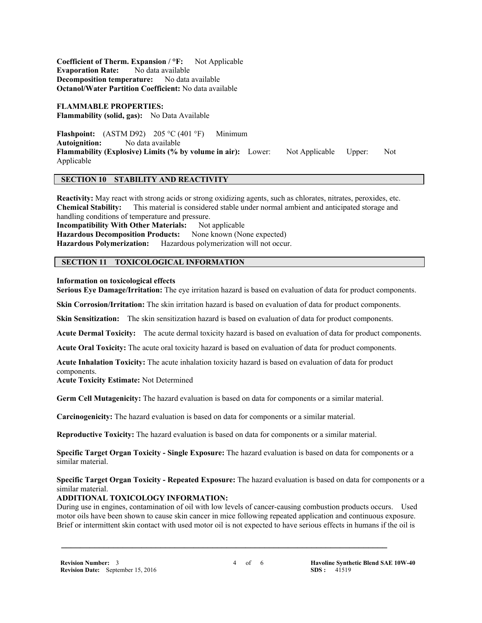**Coefficient of Therm. Expansion / °F:** Not Applicable **Evaporation Rate:** No data available **Decomposition temperature:** No data available **Octanol/Water Partition Coefficient:** No data available

**FLAMMABLE PROPERTIES: Flammability (solid, gas):** No Data Available

**Flashpoint:** (ASTM D92) 205 °C (401 °F) Minimum **Autoignition:** No data available **Flammability (Explosive) Limits (% by volume in air):** Lower: Not Applicable Upper: Not Applicable

## **SECTION 10 STABILITY AND REACTIVITY**

**Reactivity:** May react with strong acids or strong oxidizing agents, such as chlorates, nitrates, peroxides, etc. **Chemical Stability:** This material is considered stable under normal ambient and anticipated storage and handling conditions of temperature and pressure.

**Incompatibility With Other Materials:** Not applicable **Hazardous Decomposition Products:** None known (None expected) **Hazardous Polymerization:** Hazardous polymerization will not occur.

## **SECTION 11 TOXICOLOGICAL INFORMATION**

#### **Information on toxicological effects**

**Serious Eye Damage/Irritation:** The eye irritation hazard is based on evaluation of data for product components.

**Skin Corrosion/Irritation:** The skin irritation hazard is based on evaluation of data for product components.

**Skin Sensitization:** The skin sensitization hazard is based on evaluation of data for product components.

**Acute Dermal Toxicity:** The acute dermal toxicity hazard is based on evaluation of data for product components.

**Acute Oral Toxicity:** The acute oral toxicity hazard is based on evaluation of data for product components.

**Acute Inhalation Toxicity:** The acute inhalation toxicity hazard is based on evaluation of data for product components.

**Acute Toxicity Estimate:** Not Determined

**Germ Cell Mutagenicity:** The hazard evaluation is based on data for components or a similar material.

**Carcinogenicity:** The hazard evaluation is based on data for components or a similar material.

**Reproductive Toxicity:** The hazard evaluation is based on data for components or a similar material.

**Specific Target Organ Toxicity - Single Exposure:** The hazard evaluation is based on data for components or a similar material.

## **Specific Target Organ Toxicity - Repeated Exposure:** The hazard evaluation is based on data for components or a similar material.

## **ADDITIONAL TOXICOLOGY INFORMATION:**

During use in engines, contamination of oil with low levels of cancer-causing combustion products occurs. Used motor oils have been shown to cause skin cancer in mice following repeated application and continuous exposure. Brief or intermittent skin contact with used motor oil is not expected to have serious effects in humans if the oil is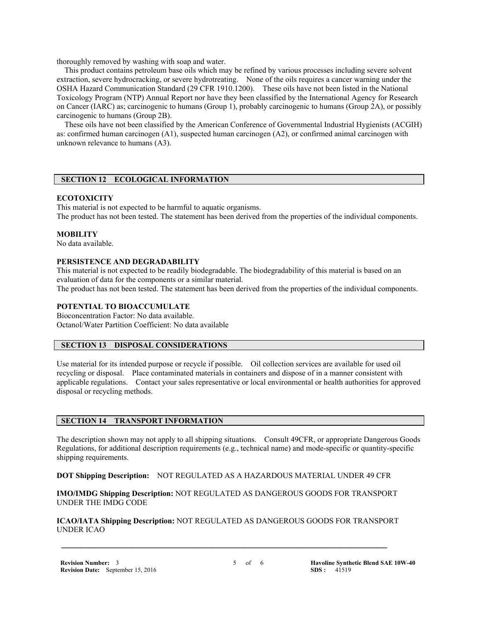thoroughly removed by washing with soap and water.

 This product contains petroleum base oils which may be refined by various processes including severe solvent extraction, severe hydrocracking, or severe hydrotreating. None of the oils requires a cancer warning under the OSHA Hazard Communication Standard (29 CFR 1910.1200). These oils have not been listed in the National Toxicology Program (NTP) Annual Report nor have they been classified by the International Agency for Research on Cancer (IARC) as; carcinogenic to humans (Group 1), probably carcinogenic to humans (Group 2A), or possibly carcinogenic to humans (Group 2B).

 These oils have not been classified by the American Conference of Governmental Industrial Hygienists (ACGIH) as: confirmed human carcinogen (A1), suspected human carcinogen (A2), or confirmed animal carcinogen with unknown relevance to humans (A3).

## **SECTION 12 ECOLOGICAL INFORMATION**

#### **ECOTOXICITY**

This material is not expected to be harmful to aquatic organisms. The product has not been tested. The statement has been derived from the properties of the individual components.

## **MOBILITY**

No data available.

## **PERSISTENCE AND DEGRADABILITY**

This material is not expected to be readily biodegradable. The biodegradability of this material is based on an evaluation of data for the components or a similar material.

The product has not been tested. The statement has been derived from the properties of the individual components.

## **POTENTIAL TO BIOACCUMULATE**

Bioconcentration Factor: No data available. Octanol/Water Partition Coefficient: No data available

#### **SECTION 13 DISPOSAL CONSIDERATIONS**

Use material for its intended purpose or recycle if possible. Oil collection services are available for used oil recycling or disposal. Place contaminated materials in containers and dispose of in a manner consistent with applicable regulations. Contact your sales representative or local environmental or health authorities for approved disposal or recycling methods.

#### **SECTION 14 TRANSPORT INFORMATION**

The description shown may not apply to all shipping situations. Consult 49CFR, or appropriate Dangerous Goods Regulations, for additional description requirements (e.g., technical name) and mode-specific or quantity-specific shipping requirements.

**DOT Shipping Description:** NOT REGULATED AS A HAZARDOUS MATERIAL UNDER 49 CFR

**IMO/IMDG Shipping Description:** NOT REGULATED AS DANGEROUS GOODS FOR TRANSPORT UNDER THE IMDG CODE

**ICAO/IATA Shipping Description:** NOT REGULATED AS DANGEROUS GOODS FOR TRANSPORT UNDER ICAO